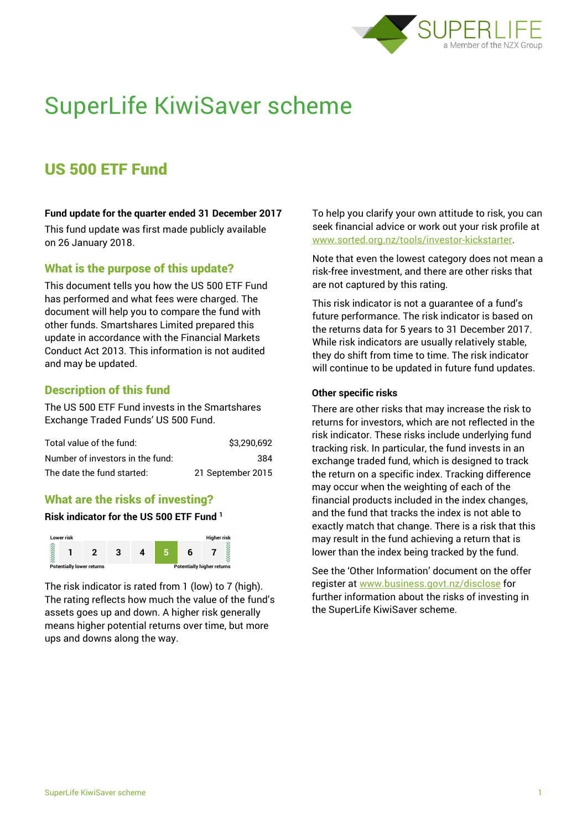

# SuperLife KiwiSaver scheme

# US 500 ETF Fund

### **Fund update for the quarter ended 31 December 2017**

This fund update was first made publicly available on 26 January 2018.

# What is the purpose of this update?

This document tells you how the US 500 ETF Fund has performed and what fees were charged. The document will help you to compare the fund with other funds. Smartshares Limited prepared this update in accordance with the Financial Markets Conduct Act 2013. This information is not audited and may be updated.

# Description of this fund

The US 500 ETF Fund invests in the Smartshares Exchange Traded Funds' US 500 Fund.

| Total value of the fund:         | \$3,290,692       |
|----------------------------------|-------------------|
| Number of investors in the fund: | 384               |
| The date the fund started:       | 21 September 2015 |

### What are the risks of investing?

### **Risk indicator for the US 500 ETF Fund <sup>1</sup>**



The risk indicator is rated from 1 (low) to 7 (high). The rating reflects how much the value of the fund's assets goes up and down. A higher risk generally means higher potential returns over time, but more ups and downs along the way.

To help you clarify your own attitude to risk, you can seek financial advice or work out your risk profile at [www.sorted.org.nz/tools/investor-kickstarter.](http://www.sorted.org.nz/tools/investor-kickstarter)

Note that even the lowest category does not mean a risk-free investment, and there are other risks that are not captured by this rating.

This risk indicator is not a guarantee of a fund's future performance. The risk indicator is based on the returns data for 5 years to 31 December 2017. While risk indicators are usually relatively stable, they do shift from time to time. The risk indicator will continue to be updated in future fund updates.

#### **Other specific risks**

There are other risks that may increase the risk to returns for investors, which are not reflected in the risk indicator. These risks include underlying fund tracking risk. In particular, the fund invests in an exchange traded fund, which is designed to track the return on a specific index. Tracking difference may occur when the weighting of each of the financial products included in the index changes, and the fund that tracks the index is not able to exactly match that change. There is a risk that this may result in the fund achieving a return that is lower than the index being tracked by the fund.

See the 'Other Information' document on the offer register at www.business.govt.nz/disclose for further information about the risks of investing in the SuperLife KiwiSaver scheme.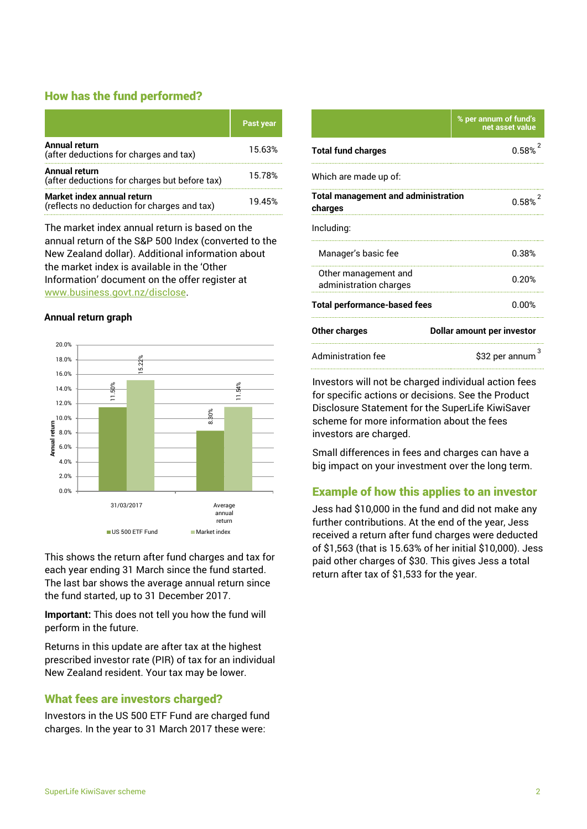# How has the fund performed?

|                                                                           | <b>Past year</b> |
|---------------------------------------------------------------------------|------------------|
| <b>Annual return</b><br>(after deductions for charges and tax)            | 15.63%           |
| Annual return<br>(after deductions for charges but before tax)            | 15.78%           |
| Market index annual return<br>(reflects no deduction for charges and tax) | 19.45%           |

The market index annual return is based on the annual return of the S&P 500 Index (converted to the New Zealand dollar). Additional information about the market index is available in the 'Other Information' document on the offer register at www.business.govt.nz/disclose.

#### **Annual return graph**



This shows the return after fund charges and tax for each year ending 31 March since the fund started. The last bar shows the average annual return since the fund started, up to 31 December 2017.

**Important:** This does not tell you how the fund will perform in the future.

Returns in this update are after tax at the highest prescribed investor rate (PIR) of tax for an individual New Zealand resident. Your tax may be lower.

# What fees are investors charged?

Investors in the US 500 ETF Fund are charged fund charges. In the year to 31 March 2017 these were:

|                                                       | % per annum of fund's<br>net asset value |  |
|-------------------------------------------------------|------------------------------------------|--|
| <b>Total fund charges</b>                             | 0.58%                                    |  |
| Which are made up of:                                 |                                          |  |
| <b>Total management and administration</b><br>charges | $0.58%^{2}$                              |  |
| Including:                                            |                                          |  |
| Manager's basic fee                                   | 0.38%                                    |  |
| Other management and<br>administration charges        | 0.20%                                    |  |
| <b>Total performance-based fees</b>                   | 0.00%                                    |  |
| <b>Other charges</b>                                  | <b>Dollar amount per investor</b>        |  |
| <b>Administration fee</b>                             | \$32 per annum                           |  |

Investors will not be charged individual action fees for specific actions or decisions. See the Product Disclosure Statement for the SuperLife KiwiSaver scheme for more information about the fees investors are charged.

Small differences in fees and charges can have a big impact on your investment over the long term.

# Example of how this applies to an investor

Jess had \$10,000 in the fund and did not make any further contributions. At the end of the year, Jess received a return after fund charges were deducted of \$1,563 (that is 15.63% of her initial \$10,000). Jess paid other charges of \$30. This gives Jess a total return after tax of \$1,533 for the year.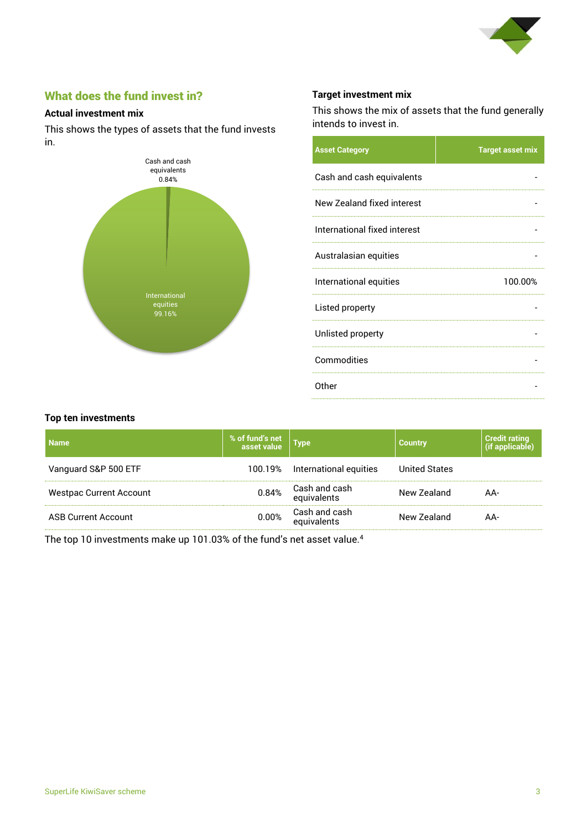

# What does the fund invest in?

### **Actual investment mix**

This shows the types of assets that the fund invests in.



# **Target investment mix**

This shows the mix of assets that the fund generally intends to invest in.

| <b>Asset Category</b>        | <b>Target asset mix</b> |
|------------------------------|-------------------------|
| Cash and cash equivalents    |                         |
| New Zealand fixed interest   |                         |
| International fixed interest |                         |
| Australasian equities        |                         |
| International equities       | 100.00%                 |
|                              |                         |
| Listed property              |                         |
| Unlisted property            |                         |
| Commodities                  |                         |

#### **Top ten investments**

| <b>Name</b>                    | % of fund's net<br>asset value | $ $ Type                           | <b>Country</b>       | <b>Credit rating</b> |
|--------------------------------|--------------------------------|------------------------------------|----------------------|----------------------|
| Vanguard S&P 500 ETF           |                                | 100.19% International equities     | <b>United States</b> |                      |
| <b>Westpac Current Account</b> |                                | 0.84% Cash and cash<br>equivalents | New Zealand          | AA-                  |
| <b>ASB Current Account</b>     | $0.00\%$                       | Cash and cash<br>equivalents       | New Zealand          | AA-                  |

The top 10 investments make up 101.03% of the fund's net asset value.<sup>4</sup>